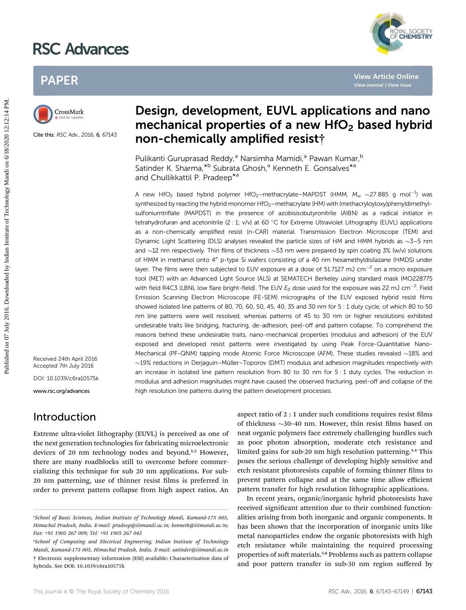# RSC Advances



## PAPER



Cite this: RSC Adv., 2016, 6, 67143

## Design, development, EUVL applications and nano mechanical properties of a new  $HfO<sub>2</sub>$  based hybrid non-chemically amplified resist†

Pulikanti Guruprasad Reddy,<sup>a</sup> Narsimha Mamidi,<sup>a</sup> Pawan Kumar,<sup>b</sup> Satinder K. Sharma, \*b Subrata Ghosh,<sup>a</sup> Kenneth E. Gonsalves \*a and Chullikkattil P. Pradeep\*a

A new HfO<sub>2</sub> based hybrid polymer HfO<sub>2</sub>-methacrylate–MAPDST (HMM,  $M_w \sim$ 27 885 g mol<sup>-1</sup>) was synthesized by reacting the hybrid monomer HfO<sub>2</sub>–methacrylate (HM) with (methacryloyloxy)phenyldimethylsulfoniumtriflate (MAPDST) in the presence of azobisisobutyronitrile (AIBN) as a radical initiator in tetrahydrofuran and acetonitrile  $(2:1; v/v)$  at 60 °C for Extreme Ultraviolet Lithography (EUVL) applications as a non-chemically amplified resist (n-CAR) material. Transmission Electron Microscope (TEM) and Dynamic Light Scattering (DLS) analyses revealed the particle sizes of HM and HMM hybrids as  $\sim$ 3-5 nm and  $\sim$ 12 nm respectively. Thin films of thickness  $\sim$ 53 nm were prepared by spin coating 3% (w/v) solutions of HMM in methanol onto 4" p-type Si wafers consisting of a 40 nm hexamethyldisilazane (HMDS) under layer. The films were then subjected to EUV exposure at a dose of 51.7127 mJ cm<sup>-2</sup> on a micro exposure tool (MET) with an Advanced Light Source (ALS) at SEMATECH Berkeley using standard mask IMO228775 with field R4C3 (LBNL low flare bright-field). The EUV  $E_0$  dose used for the exposure was 22 mJ cm $^{-2}$ . Field Emission Scanning Electron Microscope (FE-SEM) micrographs of the EUV exposed hybrid resist films showed isolated line patterns of 80, 70, 60, 50, 45, 40, 35 and 30 nm for 5 : 1 duty cycle, of which 80 to 50 nm line patterns were well resolved, whereas patterns of 45 to 30 nm or higher resolutions exhibited undesirable traits like bridging, fracturing, de-adhesion, peel-off and pattern collapse. To comprehend the reasons behind these undesirable traits, nano-mechanical properties (modulus and adhesion) of the EUV exposed and developed resist patterns were investigated by using Peak Force-Quantitative Nano-Mechanical (PF-QNM) tapping mode Atomic Force Microscope (AFM). These studies revealed  $\sim$ 18% and  $\sim$ 19% reductions in Derjaguin–Müller–Toporov (DMT) modulus and adhesion magnitudes respectively with an increase in isolated line pattern resolution from 80 to 30 nm for 5 : 1 duty cycles. The reduction in modulus and adhesion magnitudes might have caused the observed fracturing, peel-off and collapse of the high resolution line patterns during the pattern development processes. PAPER<br> **Published on 17 Cure And Conservation**<br> **Published on 17 Cure Conservation Conservation Conservation Conservation Conservation Conservation Conservation Conservation Conservation Conservation Conservation Conservat** 

Received 24th April 2016 Accepted 7th July 2016

DOI: 10.1039/c6ra10575k

www.rsc.org/advances

### Introduction

Extreme ultra-violet lithography (EUVL) is perceived as one of the next generation technologies for fabricating microelectronic devices of 20 nm technology nodes and beyond.<sup>1,2</sup> However, there are many roadblocks still to overcome before commercializing this technique for sub 20 nm applications. For sub-20 nm patterning, use of thinner resist films is preferred in order to prevent pattern collapse from high aspect ratios. An

aspect ratio of  $2:1$  under such conditions requires resist films of thickness  $\sim$ 30–40 nm. However, thin resist films based on neat organic polymers face extremely challenging hurdles such as poor photon absorption, moderate etch resistance and limited gains for sub-20 nm high resolution patterning.<sup>3,4</sup> This poses the serious challenge of developing highly sensitive and etch resistant photoresists capable of forming thinner films to prevent pattern collapse and at the same time allow efficient pattern transfer for high resolution lithographic applications.

In recent years, organic/inorganic hybrid photoresists have received significant attention due to their combined functionalities arising from both inorganic and organic components. It has been shown that the incorporation of inorganic units like metal nanoparticles endow the organic photoresists with high etch resistance while maintaining the required processing properties of soft materials.<sup>5,6</sup> Problems such as pattern collapse and poor pattern transfer in sub-30 nm region suffered by

a School of Basic Sciences, Indian Institute of Technology Mandi, Kamand-175 005, Himachal Pradesh, India. E-mail: pradeep@iitmandi.ac.in; kenneth@iitmandi.ac.in; Fax: +91 1905 267 009; Tel: +91 1905 267 045

b School of Computing and Electrical Engineering, Indian Institute of Technology Mandi, Kamand-175 005, Himachal Pradesh, India. E-mail: satinder@iitmandi.ac.in † Electronic supplementary information (ESI) available: Characterization data of hybrids. See DOI: 10.1039/c6ra10575k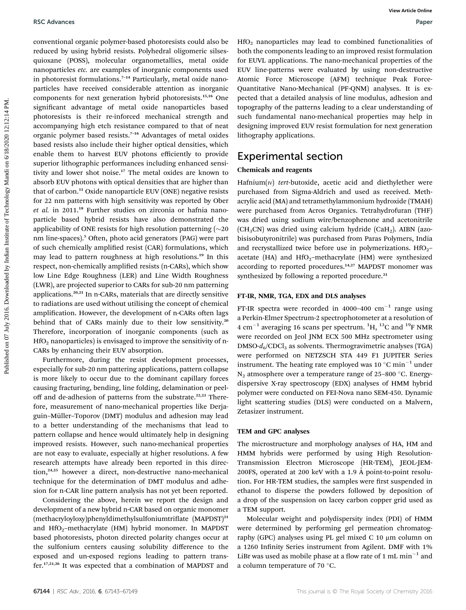conventional organic polymer-based photoresists could also be reduced by using hybrid resists. Polyhedral oligomeric silsesquioxane (POSS), molecular organometallics, metal oxide nanoparticles etc. are examples of inorganic components used in photoresist formulations.<sup>7-14</sup> Particularly, metal oxide nanoparticles have received considerable attention as inorganic components for next generation hybrid photoresists.15,16 One significant advantage of metal oxide nanoparticles based photoresists is their re-inforced mechanical strength and accompanying high etch resistance compared to that of neat organic polymer based resists.<sup>7</sup>–<sup>16</sup> Advantages of metal oxides based resists also include their higher optical densities, which enable them to harvest EUV photons efficiently to provide superior lithographic performances including enhanced sensitivity and lower shot noise.<sup>17</sup> The metal oxides are known to absorb EUV photons with optical densities that are higher than that of carbon.<sup>11</sup> Oxide nanoparticle EUV (ONE) negative resists for 22 nm patterns with high sensitivity was reported by Ober et al. in 2011.<sup>18</sup> Further studies on zirconia or hafnia nanoparticle based hybrid resists have also demonstrated the applicability of ONE resists for high resolution patterning  $(\sim 20$ nm line-spaces).<sup>5</sup> Often, photo acid generators (PAG) were part of such chemically amplified resist (CAR) formulations, which may lead to pattern roughness at high resolutions.<sup>19</sup> In this respect, non-chemically amplified resists (n-CARs), which show low Line Edge Roughness (LER) and Line Width Roughness (LWR), are projected superior to CARs for sub-20 nm patterning applications.20,21 In n-CARs, materials that are directly sensitive to radiations are used without utilising the concept of chemical amplification. However, the development of n-CARs often lags behind that of CARs mainly due to their low sensitivity.<sup>20</sup> Therefore, incorporation of inorganic components (such as  $HfO<sub>2</sub>$  nanoparticles) is envisaged to improve the sensitivity of n-CARs by enhancing their EUV absorption. RSC Advances<br>
conservant on the published on the control of the control of the control of the controlline published on the controlline institute of Technology Mandi on the controlline on the controlline of Technology Mandi

Furthermore, during the resist development processes, especially for sub-20 nm pattering applications, pattern collapse is more likely to occur due to the dominant capillary forces causing fracturing, bending, line folding, delamination or peeloff and de-adhesion of patterns from the substrate.<sup>22,23</sup> Therefore, measurement of nano-mechanical properties like Derjaguin-Müller-Toporov (DMT) modulus and adhesion may lead to a better understanding of the mechanisms that lead to pattern collapse and hence would ultimately help in designing improved resists. However, such nano-mechanical properties are not easy to evaluate, especially at higher resolutions. A few research attempts have already been reported in this direction,<sup>24,25</sup> however a direct, non-destructive nano-mechanical technique for the determination of DMT modulus and adhesion for n-CAR line pattern analysis has not yet been reported.

Considering the above, herein we report the design and development of a new hybrid n-CAR based on organic monomer (methacryloyloxy)phenyldimethylsulfoniumtriate (MAPDST)<sup>21</sup> and  $HfO<sub>2</sub>$ -methacrylate (HM) hybrid monomer. In MAPDST based photoresists, photon directed polarity changes occur at the sulfonium centers causing solubility difference to the exposed and un-exposed regions leading to pattern transfer.17,21,26 It was expected that a combination of MAPDST and

HfO2 nanoparticles may lead to combined functionalities of both the components leading to an improved resist formulation for EUVL applications. The nano-mechanical properties of the EUV line-patterns were evaluated by using non-destructive Atomic Force Microscope (AFM) technique Peak Force-Quantitative Nano-Mechanical (PF-QNM) analyses. It is expected that a detailed analysis of line modulus, adhesion and topography of the patterns leading to a clear understanding of such fundamental nano-mechanical properties may help in designing improved EUV resist formulation for next generation lithography applications.

### Experimental section

#### Chemicals and reagents

 $Hafnium(w)$  tert-butoxide, acetic acid and diethylether were purchased from Sigma-Aldrich and used as received. Methacrylic acid (MA) and tetramethylammonium hydroxide (TMAH) were purchased from Acros Organics. Tetrahydrofuran (THF) was dried using sodium wire/benzophenone and acetonitrile  $(CH<sub>3</sub>CN)$  was dried using calcium hydride (CaH<sub>2</sub>). AIBN (azobisisobutyronitrile) was purchased from Paras Polymers, India and recrystallized twice before use in polymerizations.  $HfO<sub>2</sub>$ – acetate (HA) and  $HfO_2$ -methacrylate (HM) were synthesized according to reported procedures.<sup>14,27</sup> MAPDST monomer was synthesized by following a reported procedure.<sup>21</sup>

#### FT-IR, NMR, TGA, EDX and DLS analyses

FT-IR spectra were recorded in 4000-400  $cm^{-1}$  range using a Perkin-Elmer Spectrum-2 spectrophotometer at a resolution of 4 cm<sup>-1</sup> averaging 16 scans per spectrum. <sup>1</sup>H, <sup>13</sup>C and <sup>19</sup>F NMR were recorded on Jeol JNM ECX 500 MHz spectrometer using  $DMSO-d<sub>6</sub>/CDCl<sub>3</sub>$  as solvents. Thermogravimetric analyses (TGA) were performed on NETZSCH STA 449 F1 JUPITER Series instrument. The heating rate employed was 10  $^{\circ}$ C min<sup>-1</sup> under  $N_2$  atmosphere over a temperature range of 25-800 °C. Energydispersive X-ray spectroscopy (EDX) analyses of HMM hybrid polymer were conducted on FEI-Nova nano SEM-450. Dynamic light scattering studies (DLS) were conducted on a Malvern, Zetasizer instrument.

#### TEM and GPC analyses

The microstructure and morphology analyses of HA, HM and HMM hybrids were performed by using High Resolution-Transmission Electron Microscope (HR-TEM), JEOL-JEM-200FS, operated at 200 keV with a 1.9 Å point-to-point resolution. For HR-TEM studies, the samples were first suspended in ethanol to disperse the powders followed by deposition of a drop of the suspension on lacey carbon copper grid used as a TEM support.

Molecular weight and polydispersity index (PDI) of HMM were determined by performing gel permeation chromatography (GPC) analyses using PL gel mixed C 10 μm column on a 1260 Infinity Series instrument from Agilent. DMF with 1% LiBr was used as mobile phase at a flow rate of 1 mL min<sup>-1</sup> and a column temperature of 70  $\degree$ C.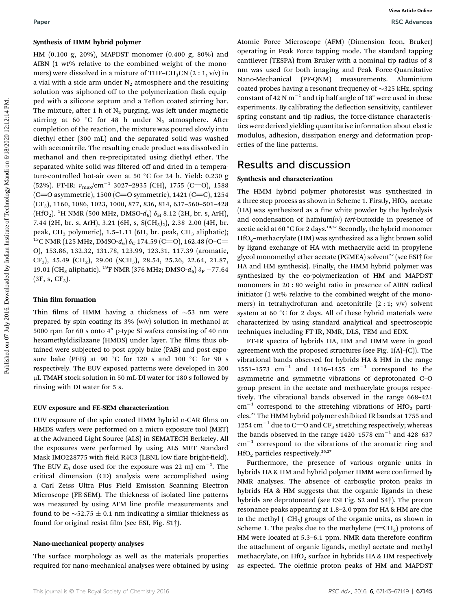#### Synthesis of HMM hybrid polymer

HM (0.100 g, 20%), MAPDST monomer (0.400 g, 80%) and AIBN (1 wt% relative to the combined weight of the monomers) were dissolved in a mixture of THF–CH<sub>3</sub>CN  $(2:1, v/v)$  in a vial with a side arm under  $N_2$  atmosphere and the resulting solution was siphoned-off to the polymerization flask equipped with a silicone septum and a Teflon coated stirring bar. The mixture, after 1 h of  $N_2$  purging, was left under magnetic stirring at 60 °C for 48 h under  $N_2$  atmosphere. After completion of the reaction, the mixture was poured slowly into diethyl ether (300 mL) and the separated solid was washed with acetonitrile. The resulting crude product was dissolved in methanol and then re-precipitated using diethyl ether. The separated white solid was filtered off and dried in a temperature-controlled hot-air oven at 50 °C for 24 h. Yield: 0.230 g (52%). FT-IR:  $v_{\text{max}}/\text{cm}^{-1}$  3027–2935 (CH), 1755 (C=O), 1588  $(C=0$  asymmetric), 1500  $(C=0$  symmetric), 1421  $(C=C)$ , 1254  $(CF_3)$ , 1160, 1086, 1023, 1000, 877, 836, 814, 637-560-501-428 (HfO<sub>2</sub>). <sup>1</sup>H NMR (500 MHz, DMSO- $d_6$ )  $\delta$ <sub>H</sub> 8.12 (2H, br. s, ArH), 7.44 (2H, br. s, ArH), 3.21 (6H, s, S(CH3)2), 2.38–2.00 (4H, br. peak, CH<sub>2</sub> polymeric), 1.5–1.11 (6H, br. peak, CH<sub>3</sub> aliphatic); <sup>13</sup>C NMR (125 MHz, DMSO- $d_6$ )  $\delta_0$  174.59 (C=O), 162.48 (O–C= O), 153.86, 132.32, 131.78, 123.99, 123.31, 117.39 (aromatic, CF<sub>3</sub>), 45.49 (CH<sub>2</sub>), 29.00 (SCH<sub>3</sub>), 28.54, 25.26, 22.64, 21.87, 19.01 (CH<sub>3</sub> aliphatic). <sup>19</sup>F NMR (376 MHz; DMSO- $d_6$ )  $\delta_F$  -77.64  $(3F, s, CF<sub>3</sub>).$ **Pure Example on the USM by Example 1980** Weight Correspond to the mean the specific of the CM (5.10) and Article CM (5.10) and Article CM (1.10) and Article CM (1.10) and Article Online (1.10) and Article Online (1.10) a

#### Thin film formation

Thin films of HMM having a thickness of  $\sim$ 53 nm were prepared by spin coating its 3% (w/v) solution in methanol at 5000 rpm for 60 s onto  $4''$  p-type Si wafers consisting of 40 nm hexamethyldisilazane (HMDS) under layer. The films thus obtained were subjected to post apply bake (PAB) and post exposure bake (PEB) at 90 °C for 120 s and 100 °C for 90 s respectively. The EUV exposed patterns were developed in 200 µL TMAH stock solution in 50 mL DI water for 180 s followed by rinsing with DI water for 5 s.

#### EUV exposure and FE-SEM characterization

EUV exposure of the spin coated HMM hybrid n-CAR films on HMDS wafers were performed on a micro exposure tool (MET) at the Advanced Light Source (ALS) in SEMATECH Berkeley. All the exposures were performed by using ALS MET Standard Mask IMO228775 with field R4C3 (LBNL low flare bright-field). The EUV  $E_0$  dose used for the exposure was 22 mJ cm<sup>-2</sup>. The critical dimension (CD) analysis were accomplished using a Carl Zeiss Ultra Plus Field Emission Scanning Electron Microscope (FE-SEM). The thickness of isolated line patterns was measured by using AFM line profile measurements and found to be  $\sim$  52.75  $\pm$  0.1 nm indicating a similar thickness as found for original resist film (see ESI, Fig.  $S1\dagger$ ).

#### Nano-mechanical property analyses

The surface morphology as well as the materials properties required for nano-mechanical analyses were obtained by using Atomic Force Microscope (AFM) (Dimension Icon, Bruker) operating in Peak Force tapping mode. The standard tapping cantilever (TESPA) from Bruker with a nominal tip radius of 8 nm was used for both imaging and Peak Force-Quantitative Nano-Mechanical (PF-QNM) measurements. Aluminium coated probes having a resonant frequency of  $\sim$ 325 kHz, spring constant of 42 N  $m^{-1}$  and tip half angle of 18° were used in these experiments. By calibrating the deflection sensitivity, cantilever spring constant and tip radius, the force-distance characteristics were derived yielding quantitative information about elastic modulus, adhesion, dissipation energy and deformation properties of the line patterns.

### Results and discussion

#### Synthesis and characterization

The HMM hybrid polymer photoresist was synthesized in a three step process as shown in Scheme 1. Firstly,  $HfO<sub>2</sub>$ -acetate (HA) was synthesized as a fine white powder by the hydrolysis and condensation of hafnium( $iv$ ) tert-butoxide in presence of acetic acid at 60 °C for 2 days.<sup>14,27</sup> Secondly, the hybrid monomer  $HfO<sub>2</sub>$ –methacrylate (HM) was synthesized as a light brown solid by ligand exchange of HA with methacrylic acid in propylene glycol monomethyl ether acetate (PGMEA) solvent<sup>27</sup> (see ESI† for HA and HM synthesis). Finally, the HMM hybrid polymer was synthesized by the co-polymerization of HM and MAPDST monomers in 20 : 80 weight ratio in presence of AIBN radical initiator (1 wt% relative to the combined weight of the monomers) in tetrahydrofuran and acetonitrile  $(2:1; v/v)$  solvent system at 60 $\degree$ C for 2 days. All of these hybrid materials were characterized by using standard analytical and spectroscopic techniques including FT-IR, NMR, DLS, TEM and EDX.

FT-IR spectra of hybrids HA, HM and HMM were in good agreement with the proposed structures (see Fig. 1(A)–(C)). The vibrational bands observed for hybrids HA & HM in the range 1551–1573  $cm^{-1}$  and 1416–1455  $cm^{-1}$  correspond to the asymmetric and symmetric vibrations of deprotonated C–O group present in the acetate and methacrylate groups respectively. The vibrational bands observed in the range 668–421  $cm^{-1}$  correspond to the stretching vibrations of HfO<sub>2</sub> particles.<sup>27</sup> The HMM hybrid polymer exhibited IR bands at 1755 and 1254  $\text{cm}^{-1}$  due to C=O and CF<sub>3</sub> stretching respectively; whereas the bands observed in the range  $1420-1578$  cm<sup>-1</sup> and  $428-637$  $cm<sup>-1</sup>$  correspond to the vibrations of the aromatic ring and  $HfO<sub>2</sub>$  particles respectively.<sup>26,27</sup>

Furthermore, the presence of various organic units in hybrids HA & HM and hybrid polymer HMM were confirmed by NMR analyses. The absence of carboxylic proton peaks in hybrids HA & HM suggests that the organic ligands in these hybrids are deprotonated (see ESI Fig. S2 and S4†). The proton resonance peaks appearing at 1.8–2.0 ppm for HA & HM are due to the methyl  $(-CH<sub>3</sub>)$  groups of the organic units, as shown in Scheme 1. The peaks due to the methylene  $(=CH<sub>2</sub>)$  protons of HM were located at 5.3-6.1 ppm. NMR data therefore confirm the attachment of organic ligands, methyl acetate and methyl methacrylate, on  $HfO<sub>2</sub>$  surface in hybrids HA & HM respectively as expected. The olefinic proton peaks of HM and MAPDST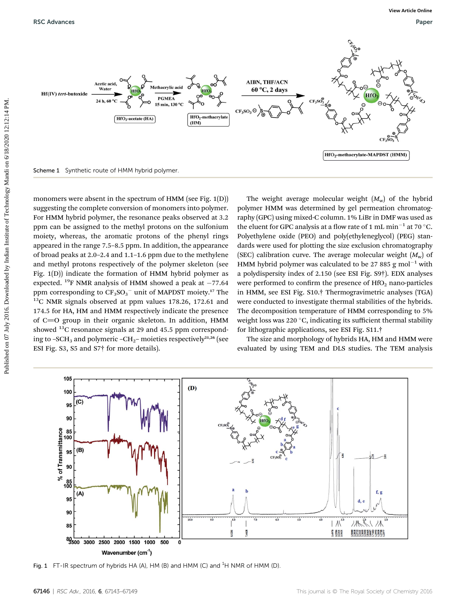

monomers were absent in the spectrum of HMM (see Fig. 1(D)) suggesting the complete conversion of monomers into polymer. For HMM hybrid polymer, the resonance peaks observed at 3.2 ppm can be assigned to the methyl protons on the sulfonium moiety, whereas, the aromatic protons of the phenyl rings appeared in the range 7.5–8.5 ppm. In addition, the appearance of broad peaks at 2.0–2.4 and 1.1–1.6 ppm due to the methylene and methyl protons respectively of the polymer skeleton (see Fig. 1(D)) indicate the formation of HMM hybrid polymer as expected. <sup>19</sup>F NMR analysis of HMM showed a peak at  $-77.64$ ppm corresponding to  $CF_3SO_3^-$  unit of MAPDST moiety.<sup>17</sup> The  $13C$  NMR signals observed at ppm values 178.26, 172.61 and 174.5 for HA, HM and HMM respectively indicate the presence of C=O group in their organic skeleton. In addition, HMM showed  $^{13}$ C resonance signals at 29 and 45.5 ppm corresponding to –SCH<sub>3</sub> and polymeric –CH<sub>2</sub>– moieties respectively<sup>21,26</sup> (see ESI Fig. S3, S5 and S7† for more details).

The weight average molecular weight  $(M_w)$  of the hybrid polymer HMM was determined by gel permeation chromatography (GPC) using mixed-C column. 1% LiBr in DMF was used as the eluent for GPC analysis at a flow rate of 1 mL min<sup>-1</sup> at 70  $^{\circ}$ C. Polyethylene oxide (PEO) and poly(ethyleneglycol) (PEG) standards were used for plotting the size exclusion chromatography (SEC) calibration curve. The average molecular weight  $(M_w)$  of HMM hybrid polymer was calculated to be 27 885 g mol<sup>-1</sup> with a polydispersity index of 2.150 (see ESI Fig. S9†). EDX analyses were performed to confirm the presence of  $HfO<sub>2</sub>$  nano-particles in HMM, see ESI Fig. S10.† Thermogravimetric analyses (TGA) were conducted to investigate thermal stabilities of the hybrids. The decomposition temperature of HMM corresponding to 5% weight loss was 220  $\degree$ C, indicating its sufficient thermal stability for lithographic applications, see ESI Fig. S11.†

The size and morphology of hybrids HA, HM and HMM were evaluated by using TEM and DLS studies. The TEM analysis



Fig. 1 FT-IR spectrum of hybrids HA (A), HM (B) and HMM (C) and  ${}^{1}$ H NMR of HMM (D).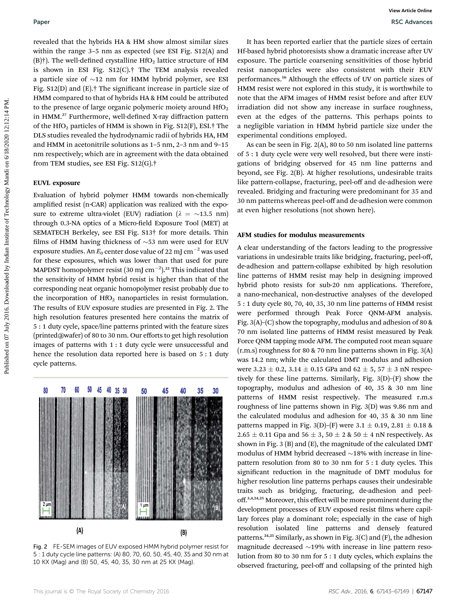revealed that the hybrids HA & HM show almost similar sizes within the range 3–5 nm as expected (see ESI Fig. S12(A) and (B)<sup>†</sup>). The well-defined crystalline HfO<sub>2</sub> lattice structure of HM is shown in ESI Fig. S12(C).† The TEM analysis revealed a particle size of  $\sim$ 12 nm for HMM hybrid polymer, see ESI Fig. S12(D) and (E).<sup>†</sup> The significant increase in particle size of HMM compared to that of hybrids HA & HM could be attributed to the presence of large organic polymeric moiety around  $HfO<sub>2</sub>$ in HMM.<sup>27</sup> Furthermore, well-defined X-ray diffraction pattern of the HfO<sub>2</sub> particles of HMM is shown in Fig. S12(F), ESI.<sup>†</sup> The DLS studies revealed the hydrodynamic radii of hybrids HA, HM and HMM in acetonitrile solutions as 1–5 nm, 2–3 nm and 9–15 nm respectively; which are in agreement with the data obtained from TEM studies, see ESI Fig. S12(G).†

#### EUVL exposure

Evaluation of hybrid polymer HMM towards non-chemically amplified resist (n-CAR) application was realized with the exposure to extreme ultra-violet (EUV) radiation ( $\lambda = \sim 13.5$  nm) through 0.3-NA optics of a Micro-field Exposure Tool (MET) at SEMATECH Berkeley, see ESI Fig. S13† for more details. Thin films of HMM having thickness of  $\sim$ 53 nm were used for EUV exposure studies. An  $E_0$  center dose value of 22 mJ cm<sup>-2</sup> was used for these exposures, which was lower than that used for pure MAPDST homopolymer resist (30 mJ cm $^{-2}$ ). $^{\rm 22}$  This indicated that the sensitivity of HMM hybrid resist is higher than that of the corresponding neat organic homopolymer resist probably due to the incorporation of  $HfO<sub>2</sub>$  nanoparticles in resist formulation. The results of EUV exposure studies are presented in Fig. 2. The high resolution features presented here contains the matrix of 5 : 1 duty cycle, space/line patterns printed with the feature sizes (printed@wafer) of 80 to 30 nm. Our efforts to get high resolution images of patterns with 1 : 1 duty cycle were unsuccessful and hence the resolution data reported here is based on 5 : 1 duty cycle patterns. **Pure and the controller on the Symbol and EW shows the Unit of the Symbol and the Symbol and the Symbol and the Symbol and the Symbol and the Symbol and the Symbol and the Symbol and the Symbol and the Symbol and the Sym** 



Fig. 2 FE-SEM images of EUV exposed HMM hybrid polymer resist for 5 : 1 duty cycle line patterns: (A) 80, 70, 60, 50, 45, 40, 35 and 30 nm at 10 KX (Mag) and (B) 50, 45, 40, 35, 30 nm at 25 KX (Mag).

It has been reported earlier that the particle sizes of certain Hf-based hybrid photoresists show a dramatic increase after UV exposure. The particle coarsening sensitivities of those hybrid resist nanoparticles were also consistent with their EUV performances.<sup>16</sup> Although the effects of UV on particle sizes of HMM resist were not explored in this study, it is worthwhile to note that the AFM images of HMM resist before and after EUV irradiation did not show any increase in surface roughness, even at the edges of the patterns. This perhaps points to a negligible variation in HMM hybrid particle size under the experimental conditions employed.

As can be seen in Fig. 2(A), 80 to 50 nm isolated line patterns of 5 : 1 duty cycle were very well resolved, but there were instigations of bridging observed for 45 nm line patterns and beyond, see Fig. 2(B). At higher resolutions, undesirable traits like pattern-collapse, fracturing, peel-off and de-adhesion were revealed. Bridging and fracturing were predominant for 35 and 30 nm patterns whereas peel-off and de-adhesion were common at even higher resolutions (not shown here).

#### AFM studies for modulus measurements

A clear understanding of the factors leading to the progressive variations in undesirable traits like bridging, fracturing, peel-off, de-adhesion and pattern-collapse exhibited by high resolution line patterns of HMM resist may help in designing improved hybrid photo resists for sub-20 nm applications. Therefore, a nano-mechanical, non-destructive analyses of the developed 5 : 1 duty cycle 80, 70, 40, 35, 30 nm line patterns of HMM resist were performed through Peak Force QNM-AFM analysis. Fig. 3(A)–(C) show the topography, modulus and adhesion of 80 & 70 nm isolated line patterns of HMM resist measured by Peak Force QNM tapping mode AFM. The computed root mean square (r.m.s) roughness for 80 & 70 nm line patterns shown in Fig. 3(A) was 14.2 nm; while the calculated DMT modulus and adhesion were 3.23  $\pm$  0.2, 3.14  $\pm$  0.15 GPa and 62  $\pm$  5, 57  $\pm$  3 nN respectively for these line patterns. Similarly, Fig. 3(D)–(F) show the topography, modulus and adhesion of 40, 35 & 30 nm line patterns of HMM resist respectively. The measured r.m.s roughness of line patterns shown in Fig. 3(D) was 9.86 nm and the calculated modulus and adhesion for 40, 35 & 30 nm line patterns mapped in Fig. 3(D)–(F) were 3.1  $\pm$  0.19, 2.81  $\pm$  0.18 & 2.65  $\pm$  0.11 Gpa and 56  $\pm$  3, 50  $\pm$  2 & 50  $\pm$  4 nN respectively. As shown in Fig. 3 (B) and (E), the magnitude of the calculated DMT modulus of HMM hybrid decreased  $\sim$ 18% with increase in linepattern resolution from 80 to 30 nm for 5 : 1 duty cycles. This significant reduction in the magnitude of DMT modulus for higher resolution line patterns perhaps causes their undesirable traits such as bridging, fracturing, de-adhesion and peeloff.<sup>3,4,24,25</sup> Moreover, this effect will be more prominent during the development processes of EUV exposed resist films where capillary forces play a dominant role; especially in the case of high resolution isolated line patterns and densely featured patterns.<sup>24,25</sup> Similarly, as shown in Fig.  $3(C)$  and  $(F)$ , the adhesion magnitude decreased  $\sim$ 19% with increase in line pattern resolution from 80 to 30 nm for 5 : 1 duty cycles, which explains the observed fracturing, peel-off and collapsing of the printed high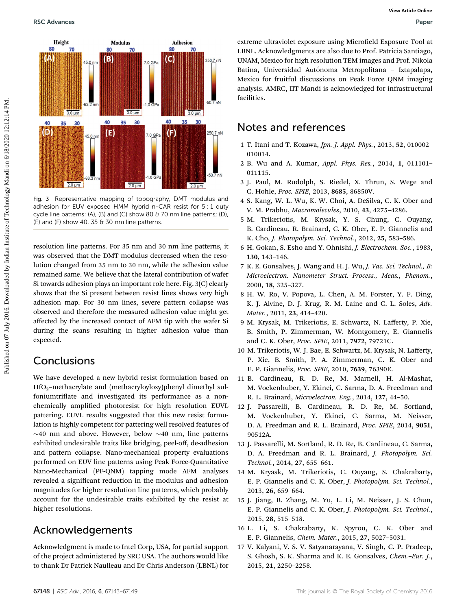

Fig. 3 Representative mapping of topography, DMT modulus and adhesion for EUV exposed HMM hybrid n-CAR resist for 5 : 1 duty cycle line patterns: (A), (B) and (C) show 80 & 70 nm line patterns; (D),  $(E)$  and  $(F)$  show 40, 35  $\theta$  30 nm line patterns.

resolution line patterns. For 35 nm and 30 nm line patterns, it was observed that the DMT modulus decreased when the resolution changed from 35 nm to 30 nm, while the adhesion value remained same. We believe that the lateral contribution of wafer Si towards adhesion plays an important role here. Fig. 3(C) clearly shows that the Si present between resist lines shows very high adhesion map. For 30 nm lines, severe pattern collapse was observed and therefore the measured adhesion value might get affected by the increased contact of AFM tip with the wafer Si during the scans resulting in higher adhesion value than expected.

## Conclusions

We have developed a new hybrid resist formulation based on HfO2–methacrylate and (methacryloyloxy)phenyl dimethyl sulfoniumtriflate and investigated its performance as a nonchemically amplied photoresist for high resolution EUVL pattering. EUVL results suggested that this new resist formulation is highly competent for pattering well resolved features of  $\sim$ 40 nm and above. However, below  $\sim$ 40 nm, line patterns exhibited undesirable traits like bridging, peel-off, de-adhesion and pattern collapse. Nano-mechanical property evaluations performed on EUV line patterns using Peak Force-Quantitative Nano-Mechanical (PF-QNM) tapping mode AFM analyses revealed a significant reduction in the modulus and adhesion magnitudes for higher resolution line patterns, which probably account for the undesirable traits exhibited by the resist at higher resolutions.

## Acknowledgements

Acknowledgment is made to Intel Corp, USA, for partial support of the project administered by SRC USA. The authors would like to thank Dr Patrick Naulleau and Dr Chris Anderson (LBNL) for

extreme ultraviolet exposure using Microfield Exposure Tool at LBNL. Acknowledgments are also due to Prof. Patricia Santiago, UNAM, Mexico for high resolution TEM images and Prof. Nikola Batina, Universidad Autónoma Metropolitana - Iztapalapa, Mexico for fruitful discussions on Peak Force QNM imaging analysis. AMRC, IIT Mandi is acknowledged for infrastructural facilities.

## Notes and references

- 1 T. Itani and T. Kozawa, Jpn. J. Appl. Phys., 2013, 52, 010002– 010014.
- 2 B. Wu and A. Kumar, Appl. Phys. Res., 2014, 1, 011101– 011115.
- 3 J. Paul, M. Rudolph, S. Riedel, X. Thrun, S. Wege and C. Hohle, Proc. SPIE, 2013, 8685, 86850V.
- 4 S. Kang, W. L. Wu, K. W. Choi, A. DeSilva, C. K. Ober and V. M. Prabhu, Macromolecules, 2010, 43, 4275–4286.
- 5 M. Trikeriotis, M. Krysak, Y. S. Chung, C. Ouyang, B. Cardineau, R. Brainard, C. K. Ober, E. P. Giannelis and K. Cho, J. Photopolym. Sci. Technol., 2012, 25, 583–586.
- 6 H. Gokan, S. Esho and Y. Ohnishi, J. Electrochem. Soc., 1983, 130, 143–146.
- 7 K. E. Gonsalves, J. Wang and H. J. Wu, J. Vac. Sci. Technol., B: Microelectron. Nanometer Struct.–Process., Meas., Phenom., 2000, 18, 325–327.
- 8 H. W. Ro, V. Popova, L. Chen, A. M. Forster, Y. F. Ding, K. J. Alvine, D. J. Krug, R. M. Laine and C. L. Soles, Adv. Mater., 2011, 23, 414–420.
- 9 M. Krysak, M. Trikeriotis, E. Schwartz, N. Lafferty, P. Xie, B. Smith, P. Zimmerman, W. Montgomery, E. Giannelis and C. K. Ober, Proc. SPIE, 2011, 7972, 79721C.
- 10 M. Trikeriotis, W. J. Bae, E. Schwartz, M. Krysak, N. Lafferty, P. Xie, B. Smith, P. A. Zimmerman, C. K. Ober and E. P. Giannelis, Proc. SPIE, 2010, 7639, 76390E.
- 11 B. Cardineau, R. D. Re, M. Marnell, H. Al-Mashat, M. Vockenhuber, Y. Ekinci, C. Sarma, D. A. Freedman and R. L. Brainard, Microelectron. Eng., 2014, 127, 44–50.
- 12 J. Passarelli, B. Cardineau, R. D. Re, M. Sortland, M. Vockenhuber, Y. Ekinci, C. Sarma, M. Neisser, D. A. Freedman and R. L. Brainard, Proc. SPIE, 2014, 9051, 90512A.
- 13 J. Passarelli, M. Sortland, R. D. Re, B. Cardineau, C. Sarma, D. A. Freedman and R. L. Brainard, J. Photopolym. Sci. Technol., 2014, 27, 655–661.
- 14 M. Kryask, M. Trikeriotis, C. Ouyang, S. Chakrabarty, E. P. Giannelis and C. K. Ober, J. Photopolym. Sci. Technol., 2013, 26, 659–664.
- 15 J. Jiang, B. Zhang, M. Yu, L. Li, M. Neisser, J. S. Chun, E. P. Giannelis and C. K. Ober, J. Photopolym. Sci. Technol., 2015, 28, 515–518.
- 16 L. Li, S. Chakrabarty, K. Spyrou, C. K. Ober and E. P. Giannelis, Chem. Mater., 2015, 27, 5027–5031.
- 17 V. Kalyani, V. S. V. Satyanarayana, V. Singh, C. P. Pradeep, S. Ghosh, S. K. Sharma and K. E. Gonsalves, Chem.–Eur. J., 2015, 21, 2250–2258.